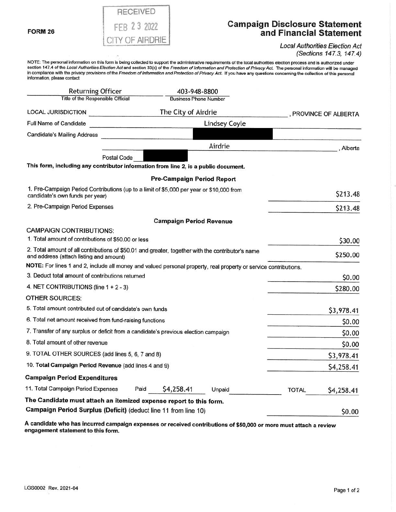## **RECEIVED** FEB 2 3 2022 CITY OF AIRDRIE

### **Campaign Disclosure Statement and Financial Statement**

#### Local Authorities Election Act (Sections 147.3, 147.4)

NOTE: The personal information on this form is being collected to support the administrative requirements of the local authorities election process and is authorized under<br>section 147.4 of the Local Authorities Election Ac in compliance with the privacy provisions of the Freedom of Information and Protection of Privacy Act. If you have any questions concerning the collection of this personal information, please contact

| <b>Returning Officer</b>                                                                                                                     |                     | 403-948-8800                      |          |                       |            |
|----------------------------------------------------------------------------------------------------------------------------------------------|---------------------|-----------------------------------|----------|-----------------------|------------|
| Title of the Responsible Official                                                                                                            |                     | <b>Business Phone Number</b>      |          |                       |            |
| LOCAL JURISDICTION                                                                                                                           | The City of Airdrie |                                   |          | , PROVINCE OF ALBERTA |            |
| Full Name of Candidate                                                                                                                       |                     | <b>Lindsey Coyle</b>              |          |                       |            |
| <b>Candidate's Mailing Address</b>                                                                                                           |                     |                                   |          |                       |            |
|                                                                                                                                              |                     |                                   | Airdrie  |                       | . Alberta  |
| Postal Code                                                                                                                                  |                     |                                   |          |                       |            |
| This form, including any contributor information from line 2, is a public document.                                                          |                     |                                   |          |                       |            |
|                                                                                                                                              |                     | <b>Pre-Campaign Period Report</b> |          |                       |            |
| 1. Pre-Campaign Period Contributions (up to a limit of \$5,000 per year or \$10,000 from<br>candidate's own funds per year)                  |                     |                                   |          | \$213.48              |            |
| 2. Pre-Campaign Period Expenses                                                                                                              |                     |                                   | \$213.48 |                       |            |
|                                                                                                                                              |                     | <b>Campaign Period Revenue</b>    |          |                       |            |
| <b>CAMPAIGN CONTRIBUTIONS:</b>                                                                                                               |                     |                                   |          |                       |            |
| 1. Total amount of contributions of \$50.00 or less                                                                                          |                     |                                   |          | \$30.00               |            |
| 2. Total amount of all contributions of \$50.01 and greater, together with the contributor's name<br>and address (attach listing and amount) |                     |                                   |          |                       | \$250.00   |
| NOTE: For lines 1 and 2, include all money and valued personal property, real property or service contributions.                             |                     |                                   |          |                       |            |
| 3. Deduct total amount of contributions returned                                                                                             |                     |                                   |          |                       | \$0.00     |
| 4. NET CONTRIBUTIONS (line $1 + 2 - 3$ )                                                                                                     |                     |                                   |          |                       | \$280.00   |
| OTHER SOURCES:                                                                                                                               |                     |                                   |          |                       |            |
| 5. Total amount contributed out of candidate's own funds                                                                                     |                     |                                   |          |                       | \$3,978.41 |
| 6. Total net amount received from fund-raising functions                                                                                     |                     |                                   |          | \$0.00                |            |
| 7. Transfer of any surplus or deficit from a candidate's previous election campaign                                                          |                     |                                   |          |                       | \$0.00     |
| 8. Total amount of other revenue                                                                                                             |                     |                                   |          |                       | \$0.00     |
| 9. TOTAL OTHER SOURCES (add lines 5, 6, 7 and 8)                                                                                             |                     |                                   |          | \$3,978.41            |            |
| 10. Total Campaign Period Revenue (add lines 4 and 9)                                                                                        |                     |                                   |          |                       | \$4,258.41 |
| <b>Campaign Period Expenditures</b>                                                                                                          |                     |                                   |          |                       |            |
| 11. Total Campaign Period Expenses                                                                                                           | Paid                | \$4,258.41                        | Unpaid   | <b>TOTAL</b>          | \$4,258.41 |
| The Candidate must attach an itemized expense report to this form.                                                                           |                     |                                   |          |                       |            |
| Campaign Period Surplus (Deficit) (deduct line 11 from line 10)                                                                              |                     |                                   |          |                       | \$0.00     |

**A candidate who has incurred campaign expenses or received contributions of \$50,000 or more must attach a review engagement statement to this form.**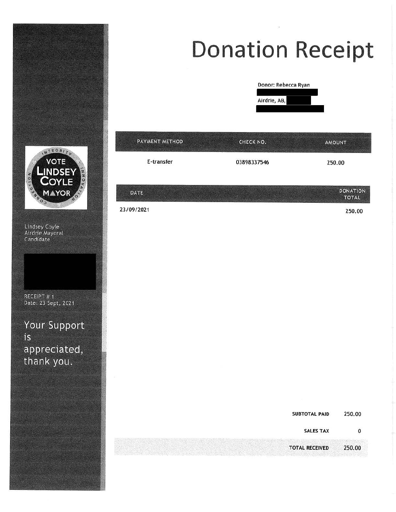

# **Donation Receipt**



| PAYMENT METHOD | CHECK NO.   | AMOUNT                          |  |
|----------------|-------------|---------------------------------|--|
| E-transfer     | 03898337546 | 250.00                          |  |
| DATE           |             | <b>DONATION</b>                 |  |
| 23/09/2021     |             | <b>TOTAL</b><br>250.00          |  |
|                |             |                                 |  |
|                |             |                                 |  |
|                |             |                                 |  |
|                |             |                                 |  |
|                |             |                                 |  |
|                |             |                                 |  |
|                |             |                                 |  |
|                |             |                                 |  |
|                |             | 250.00<br><b>SUBTOTAL PAID</b>  |  |
|                |             | <b>SALES TAX</b><br>$\pmb{0}$   |  |
|                |             | <b>TOTAL RECEIVED</b><br>250.00 |  |